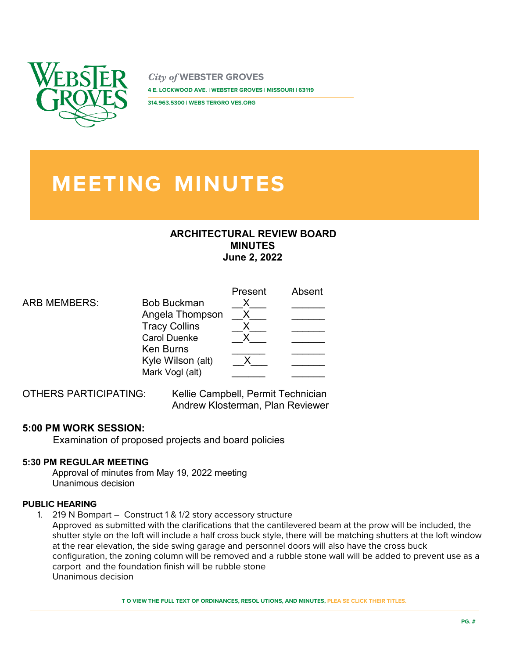

*City of* **WEBSTER GROVES 4 E. LOCKWOOD AVE. | WEBSTER GROVES | MISSOURI | 63119** 

**314.963.5300 | WEBS TERGRO VES.ORG** 

# **MEETING MINUTES**

## **ARCHITECTURAL REVIEW BOARD MINUTES June 2, 2022**

|                     |                      | Present | Absent |
|---------------------|----------------------|---------|--------|
| <b>ARB MEMBERS:</b> | <b>Bob Buckman</b>   |         |        |
|                     | Angela Thompson      |         |        |
|                     | <b>Tracy Collins</b> |         |        |
|                     | <b>Carol Duenke</b>  |         |        |
|                     | <b>Ken Burns</b>     |         |        |
|                     | Kyle Wilson (alt)    |         |        |
|                     | Mark Vogl (alt)      |         |        |
|                     |                      |         |        |

OTHERS PARTICIPATING: Kellie Campbell, Permit Technician Andrew Klosterman, Plan Reviewer

## **5:00 PM WORK SESSION:**

Examination of proposed projects and board policies

## **5:30 PM REGULAR MEETING**

Approval of minutes from May 19, 2022 meeting Unanimous decision

### **PUBLIC HEARING**

1. 219 N Bompart – Construct 1 & 1/2 story accessory structure

Approved as submitted with the clarifications that the cantilevered beam at the prow will be included, the shutter style on the loft will include a half cross buck style, there will be matching shutters at the loft window at the rear elevation, the side swing garage and personnel doors will also have the cross buck configuration, the zoning column will be removed and a rubble stone wall will be added to prevent use as a carport and the foundation finish will be rubble stone Unanimous decision

**T O VIEW THE FULL TEXT OF ORDINANCES, RESOL UTIONS, AND MINUTES, PLEA SE CLICK THEIR TITLES.**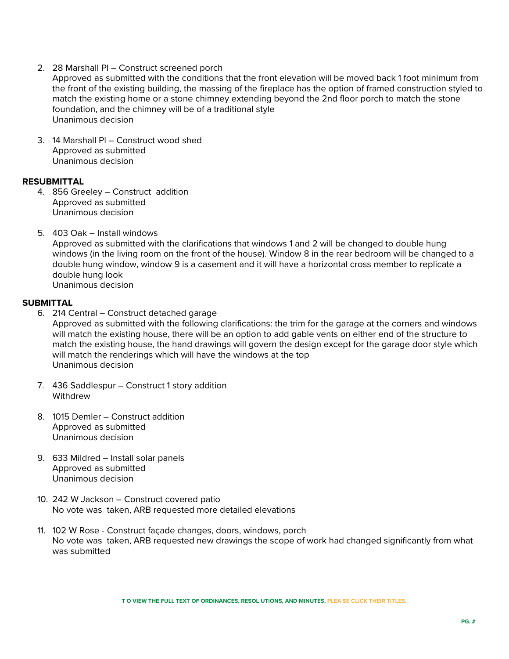- 2. 28 Marshall Pl Construct screened porch
- Approved as submitted with the conditions that the front elevation will be moved back 1 foot minimum from the front of the existing building, the massing of the fireplace has the option of framed construction styled to match the existing home or a stone chimney extending beyond the 2nd floor porch to match the stone foundation, and the chimney will be of a traditional style Unanimous decision
- 3. 14 Marshall Pl Construct wood shed Approved as submitted Unanimous decision

#### **RESUBMITTAL**

- 4. 856 Greeley Construct addition Approved as submitted Unanimous decision
- 5. 403 Oak Install windows Approved as submitted with the clarifications that windows 1 and 2 will be changed to double hung windows (in the living room on the front of the house). Window 8 in the rear bedroom will be changed to a double hung window, window 9 is a casement and it will have a horizontal cross member to replicate a double hung look Unanimous decision

#### **SUBMITTAL**

- 6. 214 Central Construct detached garage Approved as submitted with the following clarifications: the trim for the garage at the corners and windows will match the existing house, there will be an option to add gable vents on either end of the structure to match the existing house, the hand drawings will govern the design except for the garage door style which will match the renderings which will have the windows at the top Unanimous decision
- 7. 436 Saddlespur Construct 1 story addition Withdrew
- 8. 1015 Demler Construct addition Approved as submitted Unanimous decision
- 9. 633 Mildred Install solar panels Approved as submitted Unanimous decision
- 10. 242 W Jackson Construct covered patio No vote was taken, ARB requested more detailed elevations
- 11. 102 W Rose Construct façade changes, doors, windows, porch No vote was taken, ARB requested new drawings the scope of work had changed significantly from what was submitted